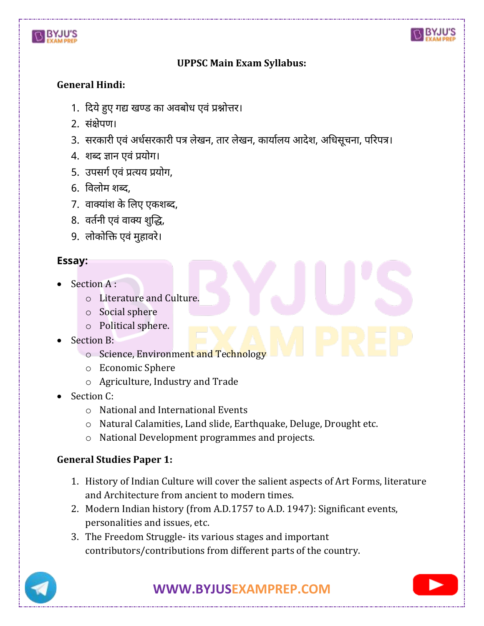



# **UPPSC Main Exam Syllabus:**

## **General Hindi:**

- 1. दिये हुए गद्य खण्ड का अवबोध एवं प्रश्नोत्तर।
- 2. संक्षेपण।
- 3. सरकारी एवं अर्धसरकारी पत्र लेखन, तार लेखन, कार्यालय आदेश, अधिसूचना, परिपत्र।
- 4. शब्ि ज्ञान एवं प्रयोग।
- 5. उपसर्ग एवं प्रत्यय प्रयोग,
- 6. ववलोम शब्ि,
- 7. वाक्यांश के लिए एकशब्द,
- 8. वर्तनी एवं वाक्य शुद्धि,
- 9. लोकोलि एवं मुहावरे।

## **Essay:**

- Section A :
	- o Literature and Culture.
	- o Social sphere
	- o Political sphere.
- Section B:
	- o Science, Environment and Technology
	- o Economic Sphere
	- o Agriculture, Industry and Trade
- Section C:
	- o National and International Events
	- o Natural Calamities, Land slide, Earthquake, Deluge, Drought etc.
	- o National Development programmes and projects.

#### **General Studies Paper 1:**

- 1. History of Indian Culture will cover the salient aspects of Art Forms, literature and Architecture from ancient to modern times.
- 2. Modern Indian history (from A.D.1757 to A.D. 1947): Significant events, personalities and issues, etc.
- 3. The Freedom Struggle- its various stages and important contributors/contributions from different parts of the country.



**[WWW.BYJUSEXAMPREP.COM](https://byjusexamprep.com/)** 

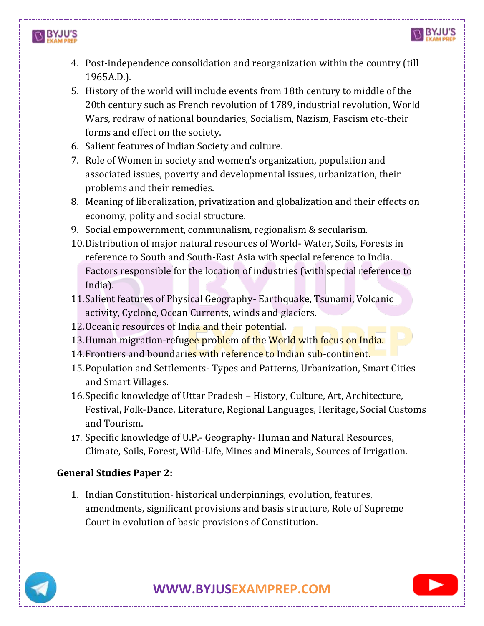

- 4. Post-independence consolidation and reorganization within the country (till 1965A.D.).
- 5. History of the world will include events from 18th century to middle of the 20th century such as French revolution of 1789, industrial revolution, World Wars, redraw of national boundaries, Socialism, Nazism, Fascism etc-their forms and effect on the society.
- 6. Salient features of Indian Society and culture.
- 7. Role of Women in society and women's organization, population and associated issues, poverty and developmental issues, urbanization, their problems and their remedies.
- 8. Meaning of liberalization, privatization and globalization and their effects on economy, polity and social structure.
- 9. Social empowernment, communalism, regionalism & secularism.
- 10.Distribution of major natural resources of World- Water, Soils, Forests in reference to South and South-East Asia with special reference to India. Factors responsible for the location of industries (with special reference to India).
- 11.Salient features of Physical Geography- Earthquake, Tsunami, Volcanic activity, Cyclone, Ocean Currents, winds and glaciers.
- 12. Oceanic resources of India and their potential.
- 13. Human migration-refugee problem of the World with focus on India.
- 14.Frontiers and boundaries with reference to Indian sub-continent.
- 15.Population and Settlements- Types and Patterns, Urbanization, Smart Cities and Smart Villages.
- 16.Specific knowledge of Uttar Pradesh History, Culture, Art, Architecture, Festival, Folk-Dance, Literature, Regional Languages, Heritage, Social Customs and Tourism.
- 17. Specific knowledge of U.P.- Geography- Human and Natural Resources, Climate, Soils, Forest, Wild-Life, Mines and Minerals, Sources of Irrigation.

# **General Studies Paper 2:**

1. Indian Constitution- historical underpinnings, evolution, features, amendments, significant provisions and basis structure, Role of Supreme Court in evolution of basic provisions of Constitution.

**IN BYJU'S**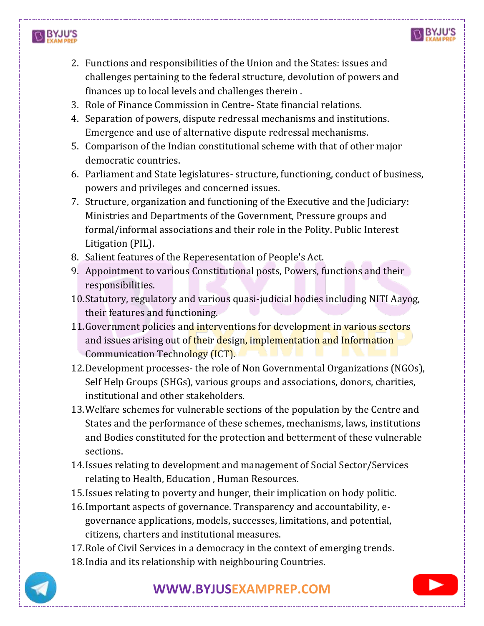



- 2. Functions and responsibilities of the Union and the States: issues and challenges pertaining to the federal structure, devolution of powers and finances up to local levels and challenges therein .
- 3. Role of Finance Commission in Centre- State financial relations.
- 4. Separation of powers, dispute redressal mechanisms and institutions. Emergence and use of alternative dispute redressal mechanisms.
- 5. Comparison of the Indian constitutional scheme with that of other major democratic countries.
- 6. Parliament and State legislatures- structure, functioning, conduct of business, powers and privileges and concerned issues.
- 7. Structure, organization and functioning of the Executive and the Judiciary: Ministries and Departments of the Government, Pressure groups and formal/informal associations and their role in the Polity. Public Interest Litigation (PIL).
- 8. Salient features of the Reperesentation of People's Act.
- 9. Appointment to various Constitutional posts, Powers, functions and their responsibilities.
- 10.Statutory, regulatory and various quasi-judicial bodies including NITI Aayog, their features and functioning.
- 11. Government policies and interventions for development in various sectors and issues arising out of their design, implementation and Information Communication Technology (ICT).
- 12.Development processes- the role of Non Governmental Organizations (NGOs), Self Help Groups (SHGs), various groups and associations, donors, charities, institutional and other stakeholders.
- 13.Welfare schemes for vulnerable sections of the population by the Centre and States and the performance of these schemes, mechanisms, laws, institutions and Bodies constituted for the protection and betterment of these vulnerable sections.
- 14.Issues relating to development and management of Social Sector/Services relating to Health, Education , Human Resources.
- 15.Issues relating to poverty and hunger, their implication on body politic.
- 16.Important aspects of governance. Transparency and accountability, egovernance applications, models, successes, limitations, and potential, citizens, charters and institutional measures.
- 17.Role of Civil Services in a democracy in the context of emerging trends.
- 18.India and its relationship with neighbouring Countries.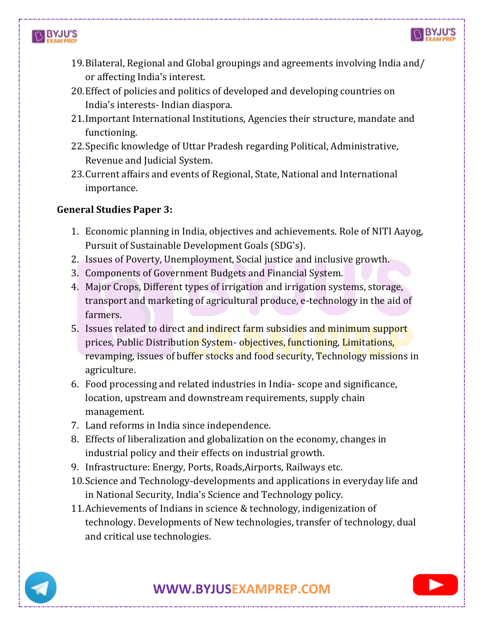



- 19.Bilateral, Regional and Global groupings and agreements involving India and/ or affecting India's interest.
- 20.Effect of policies and politics of developed and developing countries on India's interests- Indian diaspora.
- 21.Important International Institutions, Agencies their structure, mandate and functioning.
- 22.Specific knowledge of Uttar Pradesh regarding Political, Administrative, Revenue and Judicial System.
- 23.Current affairs and events of Regional, State, National and International importance.

# **General Studies Paper 3:**

- 1. Economic planning in India, objectives and achievements. Role of NITI Aayog, Pursuit of Sustainable Development Goals (SDG's).
- 2. Issues of Poverty, Unemployment, Social justice and inclusive growth.
- 3. Components of Government Budgets and Financial System.
- 4. Major Crops, Different types of irrigation and irrigation systems, storage, transport and marketing of agricultural produce, e-technology in the aid of farmers.
- 5. Issues related to direct and indirect farm subsidies and minimum support prices, Public Distribution System- objectives, functioning, Limitations, revamping, issues of buffer stocks and food security, Technology missions in agriculture.
- 6. Food processing and related industries in India- scope and significance, location, upstream and downstream requirements, supply chain management.
- 7. Land reforms in India since independence.
- 8. Effects of liberalization and globalization on the economy, changes in industrial policy and their effects on industrial growth.
- 9. Infrastructure: Energy, Ports, Roads,Airports, Railways etc.
- 10.Science and Technology-developments and applications in everyday life and in National Security, India's Science and Technology policy.
- 11.Achievements of Indians in science & technology, indigenization of technology. Developments of New technologies, transfer of technology, dual and critical use technologies.



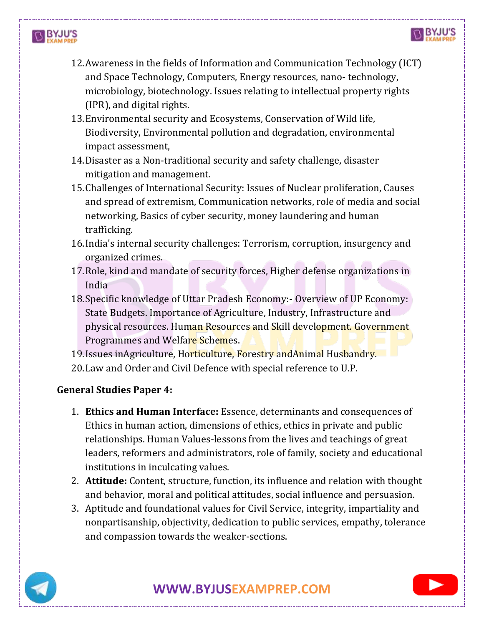



- 13.Environmental security and Ecosystems, Conservation of Wild life, Biodiversity, Environmental pollution and degradation, environmental impact assessment,
- 14.Disaster as a Non-traditional security and safety challenge, disaster mitigation and management.
- 15.Challenges of International Security: Issues of Nuclear proliferation, Causes and spread of extremism, Communication networks, role of media and social networking, Basics of cyber security, money laundering and human trafficking.
- 16.India's internal security challenges: Terrorism, corruption, insurgency and organized crimes.
- 17.Role, kind and mandate of security forces, Higher defense organizations in India
- 18.Specific knowledge of Uttar Pradesh Economy:- Overview of UP Economy: State Budgets. Importance of Agriculture, Industry, Infrastructure and physical resources. Human Resources and Skill development. Government Programmes and Welfare Schemes.
- 19.Issues inAgriculture, Horticulture, Forestry andAnimal Husbandry.
- 20.Law and Order and Civil Defence with special reference to U.P.

## **General Studies Paper 4:**

- 1. **Ethics and Human Interface:** Essence, determinants and consequences of Ethics in human action, dimensions of ethics, ethics in private and public relationships. Human Values-lessons from the lives and teachings of great leaders, reformers and administrators, role of family, society and educational institutions in inculcating values.
- 2. **Attitude:** Content, structure, function, its influence and relation with thought and behavior, moral and political attitudes, social influence and persuasion.
- 3. Aptitude and foundational values for Civil Service, integrity, impartiality and nonpartisanship, objectivity, dedication to public services, empathy, tolerance and compassion towards the weaker-sections.